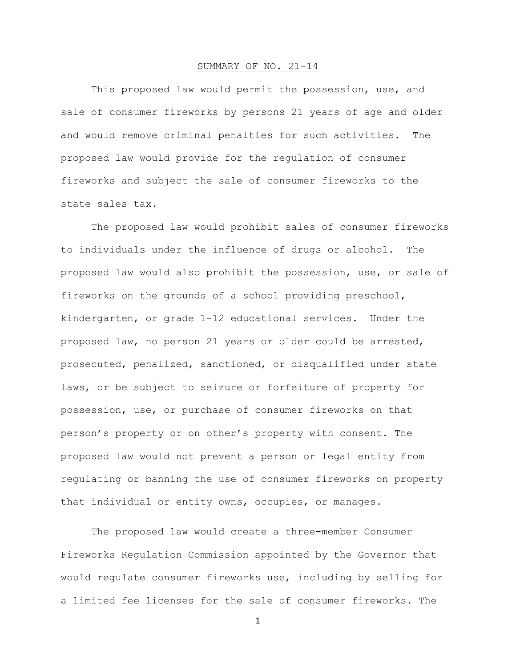## SUMMARY OF NO. 21-14

This proposed law would permit the possession, use, and sale of consumer fireworks by persons 21 years of age and older and would remove criminal penalties for such activities. The proposed law would provide for the regulation of consumer fireworks and subject the sale of consumer fireworks to the state sales tax.

The proposed law would prohibit sales of consumer fireworks to individuals under the influence of drugs or alcohol. The proposed law would also prohibit the possession, use, or sale of fireworks on the grounds of a school providing preschool, kindergarten, or grade 1-12 educational services. Under the proposed law, no person 21 years or older could be arrested, prosecuted, penalized, sanctioned, or disqualified under state laws, or be subject to seizure or forfeiture of property for possession, use, or purchase of consumer fireworks on that person's property or on other's property with consent. The proposed law would not prevent a person or legal entity from regulating or banning the use of consumer fireworks on property that individual or entity owns, occupies, or manages.

The proposed law would create a three-member Consumer Fireworks Regulation Commission appointed by the Governor that would regulate consumer fireworks use, including by selling for a limited fee licenses for the sale of consumer fireworks. The

1